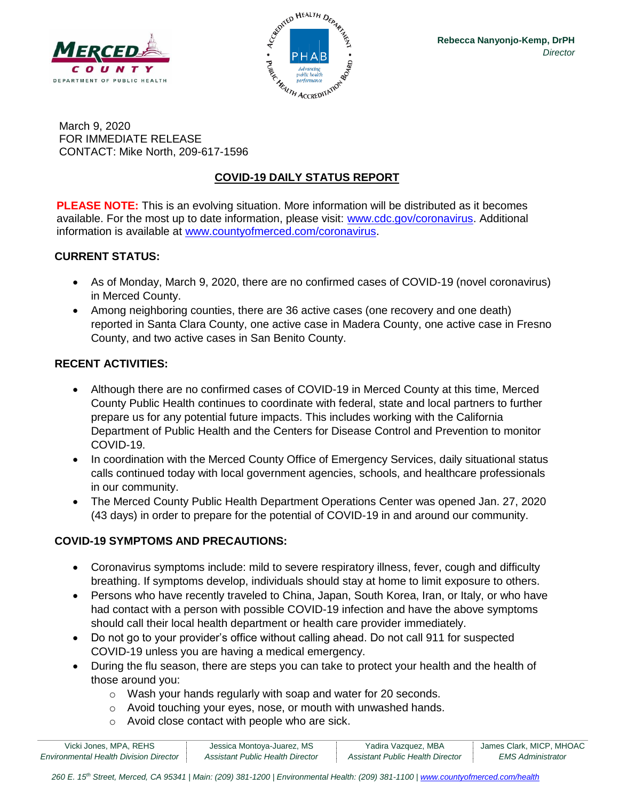



March 9, 2020 FOR IMMEDIATE RELEASE CONTACT: Mike North, 209-617-1596

# **COVID-19 DAILY STATUS REPORT**

**PLEASE NOTE:** This is an evolving situation. More information will be distributed as it becomes available. For the most up to date information, please visit: [www.cdc.gov/coronavirus.](http://www.cdc.gov/coronavirus) Additional information is available at [www.countyofmerced.com/coronavirus.](http://www.countyofmerced.com/coronavirus)

### **CURRENT STATUS:**

- As of Monday, March 9, 2020, there are no confirmed cases of COVID-19 (novel coronavirus) in Merced County.
- Among neighboring counties, there are 36 active cases (one recovery and one death) reported in Santa Clara County, one active case in Madera County, one active case in Fresno County, and two active cases in San Benito County.

### **RECENT ACTIVITIES:**

- Although there are no confirmed cases of COVID-19 in Merced County at this time, Merced County Public Health continues to coordinate with federal, state and local partners to further prepare us for any potential future impacts. This includes working with the California Department of Public Health and the Centers for Disease Control and Prevention to monitor COVID-19.
- In coordination with the Merced County Office of Emergency Services, daily situational status calls continued today with local government agencies, schools, and healthcare professionals in our community.
- The Merced County Public Health Department Operations Center was opened Jan. 27, 2020 (43 days) in order to prepare for the potential of COVID-19 in and around our community.

### **COVID-19 SYMPTOMS AND PRECAUTIONS:**

- Coronavirus symptoms include: mild to severe respiratory illness, fever, cough and difficulty breathing. If symptoms develop, individuals should stay at home to limit exposure to others.
- Persons who have recently traveled to China, Japan, South Korea, Iran, or Italy, or who have had contact with a person with possible COVID-19 infection and have the above symptoms should call their local health department or health care provider immediately.
- Do not go to your provider's office without calling ahead. Do not call 911 for suspected COVID-19 unless you are having a medical emergency.
- During the flu season, there are steps you can take to protect your health and the health of those around you:
	- o Wash your hands regularly with soap and water for 20 seconds.
	- o Avoid touching your eyes, nose, or mouth with unwashed hands.
	- o Avoid close contact with people who are sick.

| Vicki Jones, MPA, REHS                        | Jessica Montoya-Juarez, MS       | Yadira Vazquez, MBA              | James Clark, MICP, MHOAC |
|-----------------------------------------------|----------------------------------|----------------------------------|--------------------------|
| <b>Environmental Health Division Director</b> | Assistant Public Health Director | Assistant Public Health Director | EMS Administrator        |